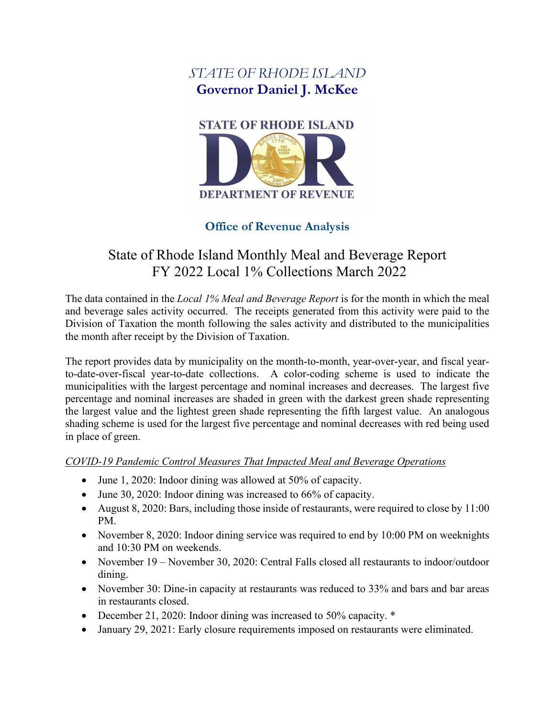# *STATE OF RHODE ISLAND* **Governor Daniel J. McKee**



## **Office of Revenue Analysis**

# State of Rhode Island Monthly Meal and Beverage Report FY 2022 Local 1% Collections March 2022

The data contained in the *Local 1% Meal and Beverage Report* is for the month in which the meal and beverage sales activity occurred. The receipts generated from this activity were paid to the Division of Taxation the month following the sales activity and distributed to the municipalities the month after receipt by the Division of Taxation.

The report provides data by municipality on the month-to-month, year-over-year, and fiscal yearto-date-over-fiscal year-to-date collections. A color-coding scheme is used to indicate the municipalities with the largest percentage and nominal increases and decreases. The largest five percentage and nominal increases are shaded in green with the darkest green shade representing the largest value and the lightest green shade representing the fifth largest value. An analogous shading scheme is used for the largest five percentage and nominal decreases with red being used in place of green.

### *COVID-19 Pandemic Control Measures That Impacted Meal and Beverage Operations*

- June 1, 2020: Indoor dining was allowed at 50% of capacity.
- June 30, 2020: Indoor dining was increased to 66% of capacity.
- August 8, 2020: Bars, including those inside of restaurants, were required to close by 11:00 PM.
- November 8, 2020: Indoor dining service was required to end by 10:00 PM on weeknights and 10:30 PM on weekends.
- November 19 November 30, 2020: Central Falls closed all restaurants to indoor/outdoor dining.
- November 30: Dine-in capacity at restaurants was reduced to 33% and bars and bar areas in restaurants closed.
- December 21, 2020: Indoor dining was increased to 50% capacity.  $*$
- January 29, 2021: Early closure requirements imposed on restaurants were eliminated.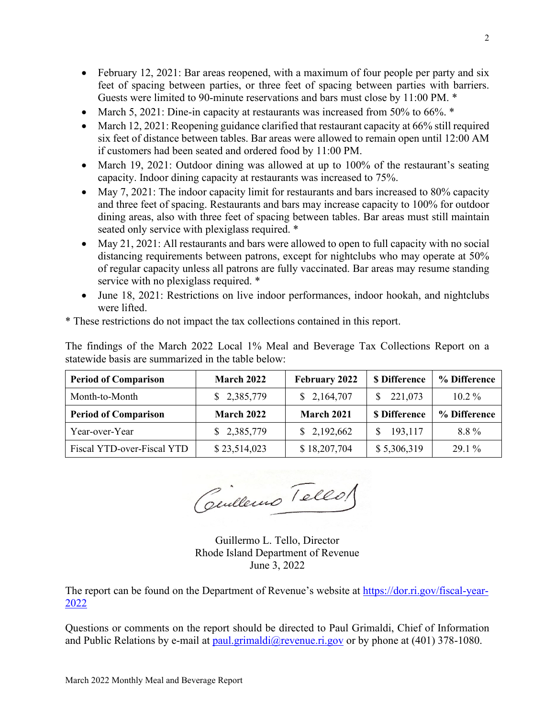- February 12, 2021: Bar areas reopened, with a maximum of four people per party and six feet of spacing between parties, or three feet of spacing between parties with barriers. Guests were limited to 90-minute reservations and bars must close by 11:00 PM. \*
- March 5, 2021: Dine-in capacity at restaurants was increased from 50% to 66%.  $*$
- March 12, 2021: Reopening guidance clarified that restaurant capacity at 66% still required six feet of distance between tables. Bar areas were allowed to remain open until 12:00 AM if customers had been seated and ordered food by 11:00 PM.
- March 19, 2021: Outdoor dining was allowed at up to 100% of the restaurant's seating capacity. Indoor dining capacity at restaurants was increased to 75%.
- May 7, 2021: The indoor capacity limit for restaurants and bars increased to 80% capacity and three feet of spacing. Restaurants and bars may increase capacity to 100% for outdoor dining areas, also with three feet of spacing between tables. Bar areas must still maintain seated only service with plexiglass required. \*
- May 21, 2021: All restaurants and bars were allowed to open to full capacity with no social distancing requirements between patrons, except for nightclubs who may operate at 50% of regular capacity unless all patrons are fully vaccinated. Bar areas may resume standing service with no plexiglass required. \*
- June 18, 2021: Restrictions on live indoor performances, indoor hookah, and nightclubs were lifted.

\* These restrictions do not impact the tax collections contained in this report.

The findings of the March 2022 Local 1% Meal and Beverage Tax Collections Report on a statewide basis are summarized in the table below:

| <b>Period of Comparison</b> | <b>March 2022</b> | <b>February 2022</b> | <b>\$</b> Difference | % Difference |
|-----------------------------|-------------------|----------------------|----------------------|--------------|
| Month-to-Month              | \$2,385,779       | \$2,164,707          | \$221,073            | $10.2\%$     |
| <b>Period of Comparison</b> | <b>March 2022</b> | March 2021           | <b>\$</b> Difference | % Difference |
| Year-over-Year              | \$2,385,779       | \$2,192,662          | 193,117              | 8.8%         |
| Fiscal YTD-over-Fiscal YTD  | \$23,514,023      | \$18,207,704         | \$5,306,319          | $29.1\%$     |

Centlemo Tellos

Guillermo L. Tello, Director Rhode Island Department of Revenue June 3, 2022

The report can be found on the Department of Revenue's website at [https://dor.ri.gov/fiscal-year-](https://dor.ri.gov/fiscal-year-2022)[2022](https://dor.ri.gov/fiscal-year-2022)

Questions or comments on the report should be directed to Paul Grimaldi, Chief of Information and Public Relations by e-mail at [paul.grimaldi@revenue.ri.gov](mailto:paul.grimaldi@revenue.ri.gov) or by phone at (401) 378-1080.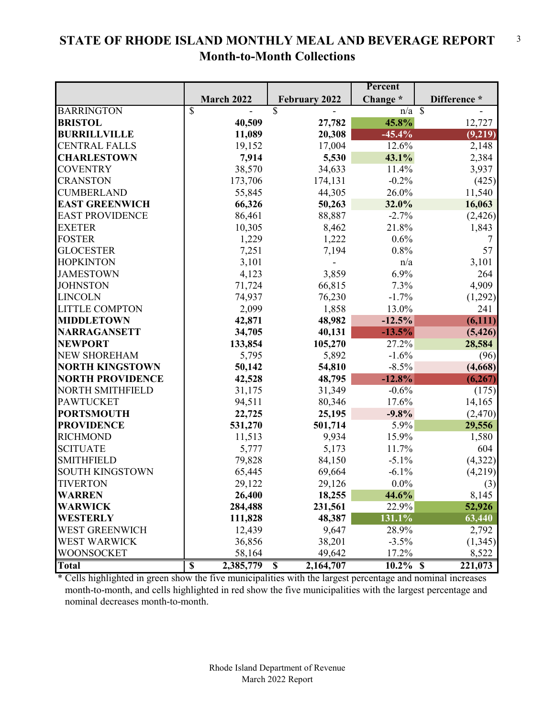### **STATE OF RHODE ISLAND MONTHLY MEAL AND BEVERAGE REPORT Month-to-Month Collections** 3

|                         |                                      |                         | Percent        |              |
|-------------------------|--------------------------------------|-------------------------|----------------|--------------|
|                         | March 2022                           | <b>February 2022</b>    | Change *       | Difference * |
| <b>BARRINGTON</b>       | $\overline{\mathbb{S}}$              | $\overline{\mathbb{S}}$ | $n/a \sqrt{s}$ |              |
| <b>BRISTOL</b>          | 40,509                               | 27,782                  | 45.8%          | 12,727       |
| <b>BURRILLVILLE</b>     | 11,089                               | 20,308                  | $-45.4%$       | (9,219)      |
| <b>CENTRAL FALLS</b>    | 19,152                               | 17,004                  | 12.6%          | 2,148        |
| <b>CHARLESTOWN</b>      | 7,914                                | 5,530                   | 43.1%          | 2,384        |
| <b>COVENTRY</b>         | 38,570                               | 34,633                  | 11.4%          | 3,937        |
| <b>CRANSTON</b>         | 173,706                              | 174,131                 | $-0.2%$        | (425)        |
| <b>CUMBERLAND</b>       | 55,845                               | 44,305                  | 26.0%          | 11,540       |
| <b>EAST GREENWICH</b>   | 66,326                               | 50,263                  | 32.0%          | 16,063       |
| <b>EAST PROVIDENCE</b>  | 86,461                               | 88,887                  | $-2.7%$        | (2, 426)     |
| <b>EXETER</b>           | 10,305                               | 8,462                   | 21.8%          | 1,843        |
| <b>FOSTER</b>           | 1,229                                | 1,222                   | 0.6%           | 7            |
| <b>GLOCESTER</b>        | 7,251                                | 7,194                   | 0.8%           | 57           |
| <b>HOPKINTON</b>        | 3,101                                |                         | n/a            | 3,101        |
| <b>JAMESTOWN</b>        | 4,123                                | 3,859                   | 6.9%           | 264          |
| <b>JOHNSTON</b>         | 71,724                               | 66,815                  | 7.3%           | 4,909        |
| <b>LINCOLN</b>          | 74,937                               | 76,230                  | $-1.7%$        | (1,292)      |
| <b>LITTLE COMPTON</b>   | 2,099                                | 1,858                   | 13.0%          | 241          |
| <b>MIDDLETOWN</b>       | 42,871                               | 48,982                  | $-12.5%$       | (6, 111)     |
| <b>NARRAGANSETT</b>     | 34,705                               | 40,131                  | $-13.5%$       | (5, 426)     |
| <b>NEWPORT</b>          | 133,854                              | 105,270                 | 27.2%          | 28,584       |
| <b>NEW SHOREHAM</b>     | 5,795                                | 5,892                   | $-1.6%$        | (96)         |
| <b>NORTH KINGSTOWN</b>  | 50,142                               | 54,810                  | $-8.5\%$       | (4,668)      |
| <b>NORTH PROVIDENCE</b> | 42,528                               | 48,795                  | $-12.8%$       | (6,267)      |
| <b>NORTH SMITHFIELD</b> | 31,175                               | 31,349                  | $-0.6%$        | (175)        |
| <b>PAWTUCKET</b>        | 94,511                               | 80,346                  | 17.6%          | 14,165       |
| <b>PORTSMOUTH</b>       | 22,725                               | 25,195                  | $-9.8%$        | (2,470)      |
| <b>PROVIDENCE</b>       | 531,270                              | 501,714                 | 5.9%           | 29,556       |
| <b>RICHMOND</b>         | 11,513                               | 9,934                   | 15.9%          | 1,580        |
| <b>SCITUATE</b>         | 5,777                                | 5,173                   | 11.7%          | 604          |
| <b>SMITHFIELD</b>       | 79,828                               | 84,150                  | $-5.1\%$       | (4,322)      |
| <b>SOUTH KINGSTOWN</b>  | 65,445                               | 69,664                  | $-6.1%$        | (4,219)      |
| <b>TIVERTON</b>         | 29,122                               | 29,126                  | $0.0\%$        | (3)          |
| <b>WARREN</b>           | 26,400                               | 18,255                  | 44.6%          | 8,145        |
| <b>WARWICK</b>          | 284,488                              | 231,561                 | 22.9%          | 52,926       |
| WESTERLY                | 111,828                              | 48,387                  | 131.1%         | 63,440       |
| WEST GREENWICH          | 12,439                               | 9,647                   | 28.9%          | 2,792        |
| <b>WEST WARWICK</b>     | 36,856                               | 38,201                  | $-3.5%$        | (1,345)      |
| <b>WOONSOCKET</b>       | 58,164                               | 49,642                  | 17.2%          | 8,522        |
| <b>Total</b>            | $\overline{\mathbb{S}}$<br>2,385,779 | 2,164,707<br>\$         | $10.2\%$ \$    | 221,073      |

\* Cells highlighted in green show the five municipalities with the largest percentage and nominal increases month-to-month, and cells highlighted in red show the five municipalities with the largest percentage and nominal decreases month-to-month.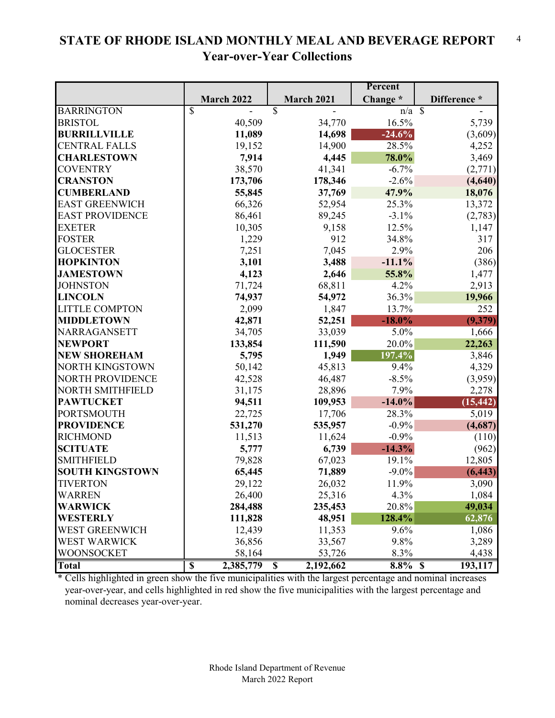#### **STATE OF RHODE ISLAND MONTHLY MEAL AND BEVERAGE REPORT Year-over-Year Collections** 4

|                         |                                      |                                        | Percent             |              |
|-------------------------|--------------------------------------|----------------------------------------|---------------------|--------------|
|                         | March 2022                           | March 2021                             | Change *            | Difference * |
| <b>BARRINGTON</b>       | $\overline{\mathbb{S}}$              | $\overline{\mathbb{S}}$                | $\overline{n/a}$ \$ |              |
| <b>BRISTOL</b>          | 40,509                               | 34,770                                 | 16.5%               | 5,739        |
| <b>BURRILLVILLE</b>     | 11,089                               | 14,698                                 | $-24.6%$            | (3,609)      |
| <b>CENTRAL FALLS</b>    | 19,152                               | 14,900                                 | 28.5%               | 4,252        |
| <b>CHARLESTOWN</b>      | 7,914                                | 4,445                                  | 78.0%               | 3,469        |
| <b>COVENTRY</b>         | 38,570                               | 41,341                                 | $-6.7%$             | (2,771)      |
| <b>CRANSTON</b>         | 173,706                              | 178,346                                | $-2.6%$             | (4,640)      |
| <b>CUMBERLAND</b>       | 55,845                               | 37,769                                 | 47.9%               | 18,076       |
| <b>EAST GREENWICH</b>   | 66,326                               | 52,954                                 | 25.3%               | 13,372       |
| <b>EAST PROVIDENCE</b>  | 86,461                               | 89,245                                 | $-3.1%$             | (2,783)      |
| <b>EXETER</b>           | 10,305                               | 9,158                                  | 12.5%               | 1,147        |
| <b>FOSTER</b>           | 1,229                                | 912                                    | 34.8%               | 317          |
| <b>GLOCESTER</b>        | 7,251                                | 7,045                                  | 2.9%                | 206          |
| <b>HOPKINTON</b>        | 3,101                                | 3,488                                  | $-11.1%$            | (386)        |
| <b>JAMESTOWN</b>        | 4,123                                | 2,646                                  | 55.8%               | 1,477        |
| <b>JOHNSTON</b>         | 71,724                               | 68,811                                 | 4.2%                | 2,913        |
| <b>LINCOLN</b>          | 74,937                               | 54,972                                 | 36.3%               | 19,966       |
| <b>LITTLE COMPTON</b>   | 2,099                                | 1,847                                  | 13.7%               | 252          |
| <b>MIDDLETOWN</b>       | 42,871                               | 52,251                                 | $-18.0\%$           | (9,379)      |
| <b>NARRAGANSETT</b>     | 34,705                               | 33,039                                 | 5.0%                | 1,666        |
| <b>NEWPORT</b>          | 133,854                              | 111,590                                | 20.0%               | 22,263       |
| <b>NEW SHOREHAM</b>     | 5,795                                | 1,949                                  | 197.4%              | 3,846        |
| <b>NORTH KINGSTOWN</b>  | 50,142                               | 45,813                                 | 9.4%                | 4,329        |
| <b>NORTH PROVIDENCE</b> | 42,528                               | 46,487                                 | $-8.5\%$            | (3,959)      |
| <b>NORTH SMITHFIELD</b> | 31,175                               | 28,896                                 | 7.9%                | 2,278        |
| <b>PAWTUCKET</b>        | 94,511                               | 109,953                                | $-14.0\%$           | (15, 442)    |
| <b>PORTSMOUTH</b>       | 22,725                               | 17,706                                 | 28.3%               | 5,019        |
| <b>PROVIDENCE</b>       | 531,270                              | 535,957                                | $-0.9%$             | (4,687)      |
| <b>RICHMOND</b>         | 11,513                               | 11,624                                 | $-0.9%$             | (110)        |
| <b>SCITUATE</b>         | 5,777                                | 6,739                                  | $-14.3%$            | (962)        |
| <b>SMITHFIELD</b>       | 79,828                               | 67,023                                 | 19.1%               | 12,805       |
| <b>SOUTH KINGSTOWN</b>  | 65,445                               | 71,889                                 | $-9.0\%$            | (6, 443)     |
| <b>TIVERTON</b>         | 29,122                               | 26,032                                 | 11.9%               | 3,090        |
| WARREN                  | 26,400                               | 25,316                                 | 4.3%                | 1,084        |
| <b>WARWICK</b>          | 284,488                              | 235,453                                | 20.8%               | 49,034       |
| WESTERLY                | 111,828                              | 48,951                                 | 128.4%              | 62,876       |
| WEST GREENWICH          | 12,439                               | 11,353                                 | 9.6%                | 1,086        |
| <b>WEST WARWICK</b>     | 36,856                               | 33,567                                 | 9.8%                | 3,289        |
| <b>WOONSOCKET</b>       | 58,164                               | 53,726                                 | 8.3%                | 4,438        |
| <b>Total</b>            | $\overline{\mathbb{S}}$<br>2,385,779 | 2,192,662<br>$\boldsymbol{\mathsf{S}}$ | $8.8\%$ \$          | 193,117      |

\* Cells highlighted in green show the five municipalities with the largest percentage and nominal increases year-over-year, and cells highlighted in red show the five municipalities with the largest percentage and nominal decreases year-over-year.